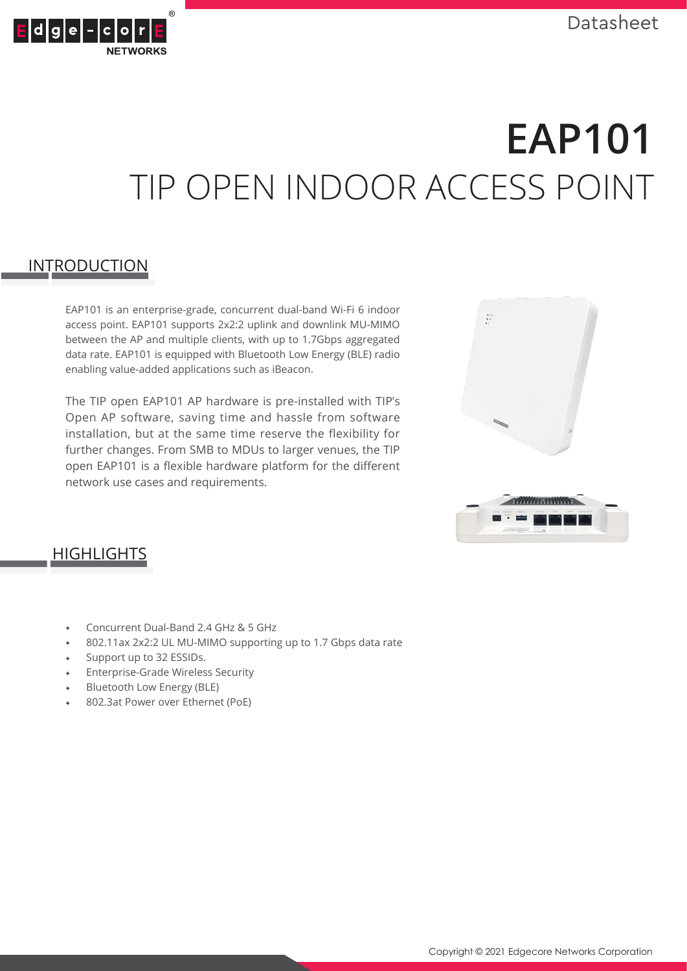

# **EAP101** TIP OPEN INDOOR ACCESS POINT

# **INTRODUCTION**

EAP101 is an enterprise-grade, concurrent dual-band Wi-Fi 6 indoor access point. EAP101 supports 2x2:2 uplink and downlink MU-MIMO between the AP and multiple clients, with up to 1.7Gbps aggregated data rate. EAP101 is equipped with Bluetooth Low Energy (BLE) radio enabling value-added applications such as iBeacon.

The TIP open EAP101 AP hardware is pre-installed with TIP's Open AP software, saving time and hassle from software installation, but at the same time reserve the flexibility for further changes. From SMB to MDUs to larger venues, the TIP open EAP101 is a flexible hardware platform for the different network use cases and requirements.





# **HIGHLIGHTS**

- Concurrent Dual-Band 2.4 GHz & 5 GHz
- 802.11ax 2x2:2 UL MU-MIMO supporting up to 1.7 Gbps data rate
- Support up to 32 ESSIDs.
- ◈ Enterprise-Grade Wireless Security
- ◈ Bluetooth Low Energy (BLE)
- 802.3at Power over Ethernet (PoE)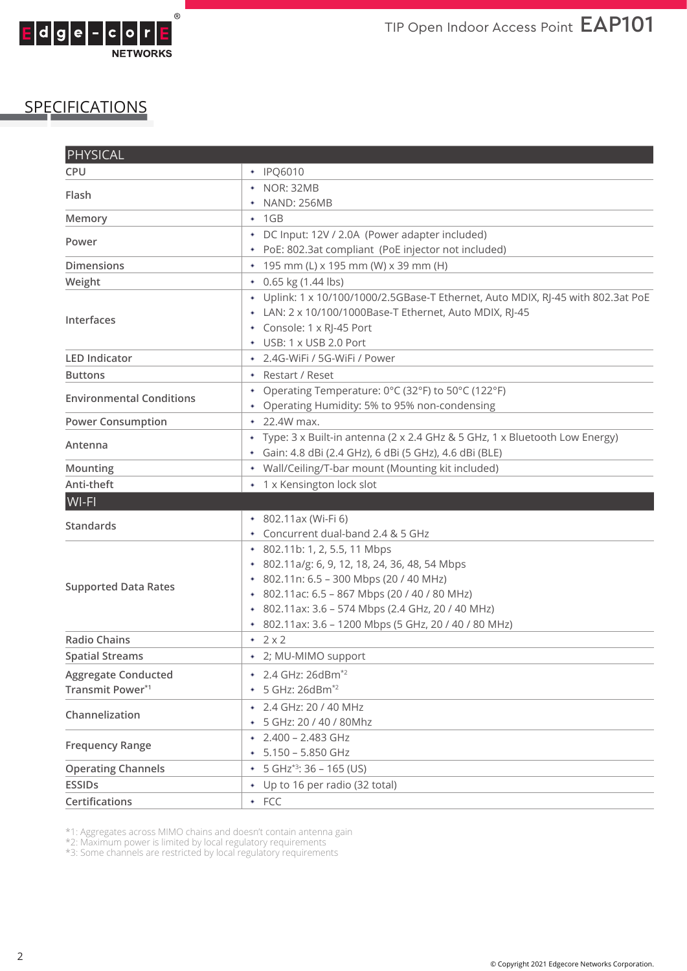

# SPECIFICATIONS

| <b>PHYSICAL</b>                 |                                                                                  |
|---------------------------------|----------------------------------------------------------------------------------|
| <b>CPU</b>                      | • IPQ6010                                                                        |
| Flash                           | • NOR: 32MB                                                                      |
|                                 | • NAND: 256MB                                                                    |
| Memory                          | $\cdot$ 1GB                                                                      |
| Power                           | * DC Input: 12V / 2.0A (Power adapter included)                                  |
|                                 | + PoE: 802.3at compliant (PoE injector not included)                             |
| <b>Dimensions</b>               | * 195 mm (L) x 195 mm (W) x 39 mm (H)                                            |
| Weight                          | $\bullet$ 0.65 kg (1.44 lbs)                                                     |
| Interfaces                      | + Uplink: 1 x 10/100/1000/2.5GBase-T Ethernet, Auto MDIX, RJ-45 with 802.3at PoE |
|                                 | + LAN: 2 x 10/100/1000Base-T Ethernet, Auto MDIX, RJ-45                          |
|                                 | * Console: 1 x RJ-45 Port                                                        |
|                                 | + USB: 1 x USB 2.0 Port                                                          |
| <b>LED Indicator</b>            | * 2.4G-WiFi / 5G-WiFi / Power                                                    |
| <b>Buttons</b>                  | • Restart / Reset                                                                |
| <b>Environmental Conditions</b> | * Operating Temperature: 0°C (32°F) to 50°C (122°F)                              |
|                                 | * Operating Humidity: 5% to 95% non-condensing                                   |
| <b>Power Consumption</b>        | $\cdot$ 22.4W max.                                                               |
| Antenna                         | * Type: 3 x Built-in antenna (2 x 2.4 GHz & 5 GHz, 1 x Bluetooth Low Energy)     |
|                                 | + Gain: 4.8 dBi (2.4 GHz), 6 dBi (5 GHz), 4.6 dBi (BLE)                          |
| Mounting                        | • Wall/Ceiling/T-bar mount (Mounting kit included)                               |
| Anti-theft                      | * 1 x Kensington lock slot                                                       |
| WI-FI                           |                                                                                  |
| <b>Standards</b>                | * 802.11ax (Wi-Fi 6)                                                             |
|                                 | * Concurrent dual-band 2.4 & 5 GHz                                               |
|                                 | * 802.11b: 1, 2, 5.5, 11 Mbps                                                    |
| <b>Supported Data Rates</b>     | * 802.11a/g: 6, 9, 12, 18, 24, 36, 48, 54 Mbps                                   |
|                                 | * 802.11n: 6.5 - 300 Mbps (20 / 40 MHz)                                          |
|                                 | * 802.11ac: 6.5 - 867 Mbps (20 / 40 / 80 MHz)                                    |
|                                 | * 802.11ax: 3.6 - 574 Mbps (2.4 GHz, 20 / 40 MHz)                                |
| <b>Radio Chains</b>             | * 802.11ax: 3.6 - 1200 Mbps (5 GHz, 20 / 40 / 80 MHz)                            |
| <b>Spatial Streams</b>          | $\div$ 2 x 2<br>* 2; MU-MIMO support                                             |
|                                 |                                                                                  |
| <b>Aggregate Conducted</b>      | * 2.4 GHz: 26dBm <sup>*2</sup>                                                   |
| Transmit Power*1                | + 5 GHz: 26dBm <sup>*2</sup>                                                     |
| Channelization                  | * 2.4 GHz: 20 / 40 MHz                                                           |
|                                 | + 5 GHz: 20 / 40 / 80Mhz                                                         |
| <b>Frequency Range</b>          | $\text{*}$ 2.400 - 2.483 GHz                                                     |
|                                 | $*$ 5.150 - 5.850 GHz                                                            |
| <b>Operating Channels</b>       | $\bullet$ 5 GHz <sup>*3</sup> : 36 - 165 (US)                                    |
| <b>ESSIDs</b>                   | • Up to 16 per radio (32 total)                                                  |
| <b>Certifications</b>           | $\cdot$ FCC                                                                      |

\*1: Aggregates across MIMO chains and doesn't contain antenna gain

\*2: Maximum power is limited by local regulatory requirements

\*3: Some channels are restricted by local regulatory requirements